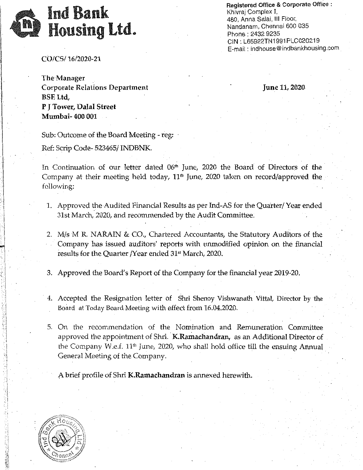

Registered Office & Corporate Office: Khivraj Complex I, 480, Anna Salai, III Floor,  $W_1$  Millia Galai, in Froor,  $\Omega_0$  of  $\Omega_0$  $maxmax$   $max$   $max$ Phone: 2432 9235<br>CIN: L65922TN1991PLC020219 E-mail: indhouse@indbankhousing.com

*CO/CS/16/2020-21*

The-Manager Corporate Relations Department BSE Ltd, P J Tower, Dalal Street Mumbai- 400 001

June 11, 2020·

Sub: Outcome of the Board Meeting - reg:

Ref: Scrip Code- 523465/ INDBNK.

In Continuation of our letter dated 06<sup>th</sup> June, 2020 the Board of Directors of the Company at their meeting held today, 11<sup>th</sup> June, 2020 taken on record/approved the following:

- 1. Approved the Audited Financial Results as per Ind-AS for the Quarter/ Year ended 31st March, 2020, and recommended by the Audit Committee:
- 2. M/s'M R. NARAIN & CO., Chartered Accountants, the Statutory Auditors of the . Company has issued auditors' reports with unmodified opinion on the financial results for the Quarter /Year ended 31<sup>st</sup> March, 2020.

3. Approved the Board's Report of the Company for the financial year 2019~20.

- 4. Accepted the Resignation letter of Shri Shenoy Vishwanath Vittal, Director by the Board at Today Board Meeting with effect from 16.04.2020.
- 5. On the recommendation of the Nomination and Remuneration Committee approved the appointment of Shri. K.Ramachandran, as an Additional Director of the Company W.e.f. 11th June, 2020, who shall hold office till the ensuing Annual General Meeting of the Company.

A brief profile of Shri K.Ramachandran is annexed herewith.

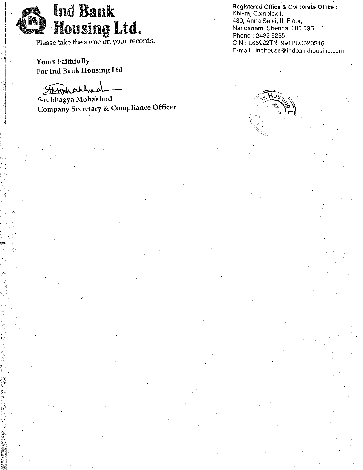Ind Bank **1 442 Housing Ltd.** 

~ Please take the same on your records.

Yours Faithfully For Ind Bank Housing Ltd

I

..... :.:  $\mathbb{R}^3$ :.;j  $~\cdot$  .

 $\mathbb{Z}^2$ *.\_ ;C*  $-1.7$ 

Stranhautred

Soubhagya Mohakhud Company Secretary & Compliance Officer Registered Office & Corporate Office: Khivraj Complex I, 480, Anna Salai, III Floor, Nandanam, Chennai 600 035 . Phone: 2432 9235 CIN: L65922TN1991PLC020219 E-mail: indhouse@indbankhousing.com